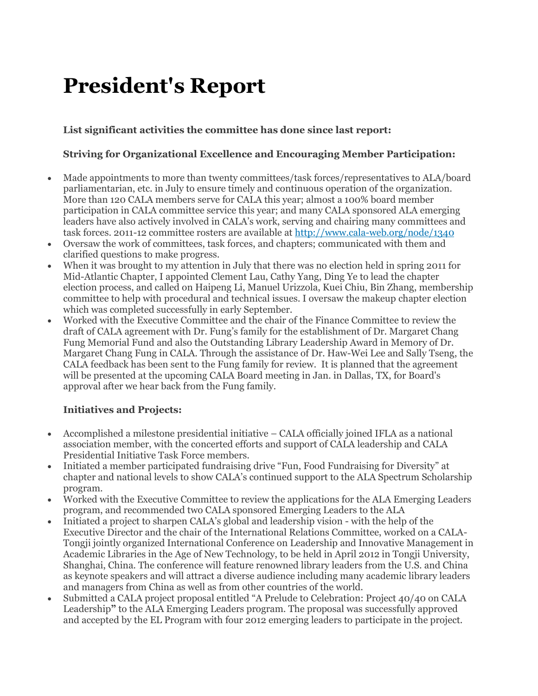# **President's Report**

## **List significant activities the committee has done since last report:**

#### **Striving for Organizational Excellence and Encouraging Member Participation:**

- Made appointments to more than twenty committees/task forces/representatives to ALA/board parliamentarian, etc. in July to ensure timely and continuous operation of the organization. More than 120 CALA members serve for CALA this year; almost a 100% board member participation in CALA committee service this year; and many CALA sponsored ALA emerging leaders have also actively involved in CALA's work, serving and chairing many committees and task forces. 2011-12 committee rosters are available at <http://www.cala-web.org/node/1340>
- Oversaw the work of committees, task forces, and chapters; communicated with them and clarified questions to make progress.
- When it was brought to my attention in July that there was no election held in spring 2011 for Mid-Atlantic Chapter, I appointed Clement Lau, Cathy Yang, Ding Ye to lead the chapter election process, and called on Haipeng Li, Manuel Urizzola, Kuei Chiu, Bin Zhang, membership committee to help with procedural and technical issues. I oversaw the makeup chapter election which was completed successfully in early September.
- Worked with the Executive Committee and the chair of the Finance Committee to review the draft of CALA agreement with Dr. Fung's family for the establishment of Dr. Margaret Chang Fung Memorial Fund and also the Outstanding Library Leadership Award in Memory of Dr. Margaret Chang Fung in CALA. Through the assistance of Dr. Haw-Wei Lee and Sally Tseng, the CALA feedback has been sent to the Fung family for review. It is planned that the agreement will be presented at the upcoming CALA Board meeting in Jan. in Dallas, TX, for Board's approval after we hear back from the Fung family.

#### **Initiatives and Projects:**

- Accomplished a milestone presidential initiative CALA officially joined IFLA as a national association member, with the concerted efforts and support of CALA leadership and CALA Presidential Initiative Task Force members.
- Initiated a member participated fundraising drive "Fun, Food Fundraising for Diversity" at chapter and national levels to show CALA's continued support to the ALA Spectrum Scholarship program.
- Worked with the Executive Committee to review the applications for the ALA Emerging Leaders program, and recommended two CALA sponsored Emerging Leaders to the ALA
- Initiated a project to sharpen CALA's global and leadership vision with the help of the Executive Director and the chair of the International Relations Committee, worked on a CALA-Tongji jointly organized International Conference on Leadership and Innovative Management in Academic Libraries in the Age of New Technology, to be held in April 2012 in Tongji University, Shanghai, China. The conference will feature renowned library leaders from the U.S. and China as keynote speakers and will attract a diverse audience including many academic library leaders and managers from China as well as from other countries of the world.
- Submitted a CALA project proposal entitled "A Prelude to Celebration: Project 40/40 on CALA Leadership**"** to the ALA Emerging Leaders program. The proposal was successfully approved and accepted by the EL Program with four 2012 emerging leaders to participate in the project.